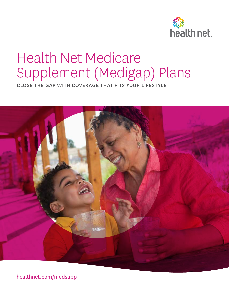

# Health Net Medicare Supplement (Medigap) Plans

CLOSE THE GAP WITH COVERAGE THAT FITS YOUR LIFESTYLE



healthnet.com/medsupp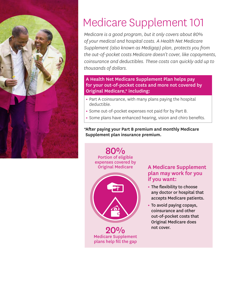

# Medicare Supplement 101

*Medicare is a good program, but it only covers about 80% of your medical and hospital costs. A Health Net Medicare Supplement (also known as Medigap) plan, protects you from the out-of-pocket costs Medicare doesn't cover, like copayments, coinsurance and deductibles. These costs can quickly add up to thousands of dollars.* 

#### A Health Net Medicare Supplement Plan helps pay for your out-of-pocket costs and more not covered by Original Medicare,\* including:

- **•** Part A coinsurance, with many plans paying the hospital deductible.
- **•** Some out-of-pocket expenses not paid for by Part B.
- **•** Some plans have enhanced hearing, vision and chiro benefits.

#### \*After paying your Part B premium and monthly Medicare Supplement plan insurance premium.



### A Medicare Supplement plan may work for you if you want:

- **•** The flexibility to choose any doctor or hospital that accepts Medicare patients.
- **•** To avoid paying copays, coinsurance and other out-of-pocket costs that Original Medicare does not cover.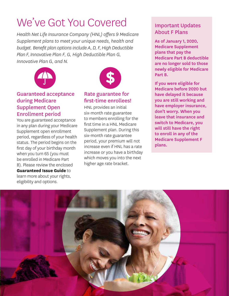# We've Got You Covered

*Health Net Life Insurance Company (HNL) offers 9 Medicare Supplement plans to meet your unique needs, health and budget. Benefit plan options include A, D, F, High Deductible Plan F, Innovative Plan F, G, High Deductible Plan G, Innovative Plan G, and N.*



### Guaranteed acceptance during Medicare Supplement Open Enrollment period

You are guaranteed acceptance in any plan during your Medicare Supplement open enrollment period, regardless of your health status. The period begins on the first day of your birthday month when you turn 65 (you must be enrolled in Medicare Part B). Please review the enclosed **Guaranteed Issue Guide** to learn more about your rights, eligibility and options.



### Rate guarantee for first-time enrollees!

HNL provides an initial six-month rate guarantee to members enrolling for the first time in a HNL Medicare Supplement plan. During this six-month rate guarantee period, your premium will not increase even if HNL has a rate increase or you have a birthday which moves you into the next higher age rate bracket.

# Important Updates About F Plans

As of January 1, 2020, Medicare Supplement plans that pay the Medicare Part B deductible are no longer sold to those newly eligible for Medicare Part B.

If you were eligible for Medicare before 2020 but have delayed it because you are still working and have employer insurance, don't worry. When you leave that insurance and switch to Medicare, you will still have the right to enroll in any of the Medicare Supplement F plans.

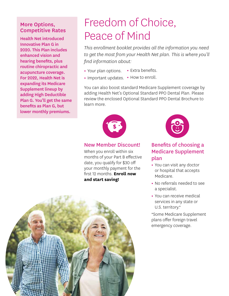#### More Options, Competitive Rates

Health Net introduced Innovative Plan G in 2020. This Plan includes enhanced vision and hearing benefits, plus routine chiropractic and acupuncture coverage. For 2022, Health Net is expanding its Medicare Supplement lineup by adding High Deductible Plan G. You'll get the same benefits as Plan G, but lower monthly premiums.

# Freedom of Choice, Peace of Mind

*This enrollment booklet provides all the information you need to get the most from your Health Net plan. This is where you'll find information about:*

- **•** Your plan options. **•** Extra benefits.
- **•** Important updates. **•** How to enroll.

You can also boost standard Medicare Supplement coverage by adding Health Net's Optional Standard PPO Dental Plan. Please review the enclosed Optional Standard PPO Dental Brochure to learn more.



#### New Member Discount!

When you enroll within six months of your Part B effective date, you qualify for \$30 off your monthly payment for the first 12 months. **Enroll now and start saving!**



## Benefits of choosing a Medicare Supplement plan

- **•** You can visit any doctor or hospital that accepts Medicare.
- **•** No referrals needed to see a specialist.
- **•** You can receive medical services in any state or U.S. territory.\*

\*Some Medicare Supplement plans offer foreign travel emergency coverage.

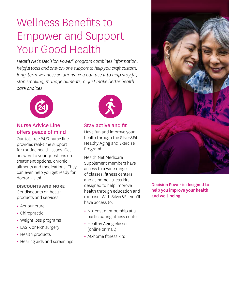# Wellness Benefits to Empower and Support Your Good Health

*Health Net's Decision Power® program combines information, helpful tools and one-on-one support to help you craft custom, long-term wellness solutions. You can use it to help stay fit, stop smoking, manage ailments, or just make better health care choices.* 



### Nurse Advice Line offers peace of mind

Our toll-free 24/7 nurse line provides real-time support for routine health issues. Get answers to your questions on treatment options, chronic ailments and medications. They can even help you get ready for doctor visits!

#### **DISCOUNTS AND MORE**

Get discounts on health products and services

- **•** Acupuncture
- **•** Chiropractic
- **•** Weight loss programs
- **•** LASIK or PRK surgery
- **•** Health products
- **•** Hearing aids and screenings



# Stay active and fit

Have fun and improve your health through the Silver&Fit Healthy Aging and Exercise Program!

Health Net Medicare Supplement members have access to a wide range of classes, fitness centers and at-home fitness kits designed to help improve health through education and exercise. With Silver&Fit you'll have access to:

- **•** No-cost membership at a participating fitness center
- **•** Healthy Aging classes (online or mail)
- **•** At-home fitness kits



Decision Power is designed to help you improve your health and well-being.